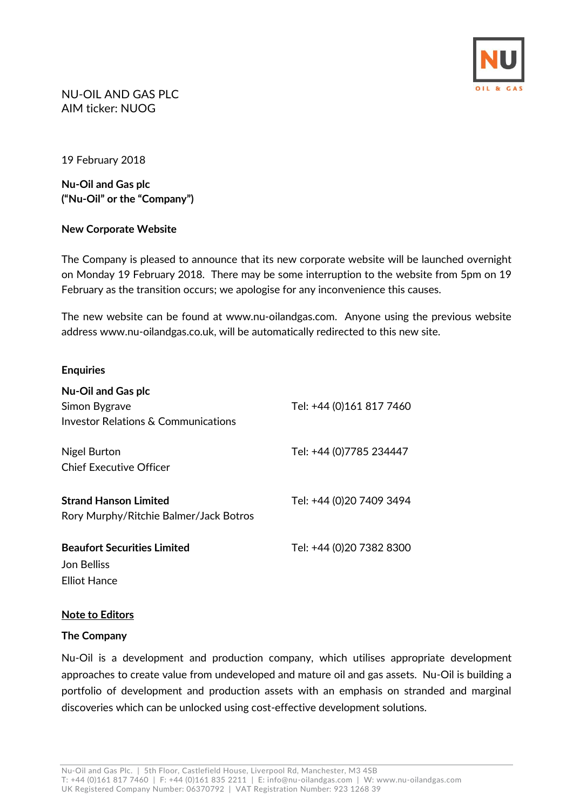

NU-OIL AND GAS PLC AIM ticker: NUOG

19 February 2018

**Nu-Oil and Gas plc ("Nu-Oil" or the "Company")**

## **New Corporate Website**

The Company is pleased to announce that its new corporate website will be launched overnight on Monday 19 February 2018. There may be some interruption to the website from 5pm on 19 February as the transition occurs; we apologise for any inconvenience this causes.

The new website can be found at [www.nu-oilandgas.com.](http://www.nu-oilandgas.com/) Anyone using the previous website addres[s www.nu-oilandgas.co.uk,](http://www.nu-oilandgas.co.uk/) will be automatically redirected to this new site.

### **Enquiries**

| <b>Nu-Oil and Gas plc</b><br>Simon Bygrave<br><b>Investor Relations &amp; Communications</b> | Tel: +44 (0)161 817 7460 |
|----------------------------------------------------------------------------------------------|--------------------------|
| Nigel Burton<br><b>Chief Executive Officer</b>                                               | Tel: +44 (0)7785 234447  |
| <b>Strand Hanson Limited</b><br>Rory Murphy/Ritchie Balmer/Jack Botros                       | Tel: +44 (0)20 7409 3494 |
| <b>Beaufort Securities Limited</b><br>Jon Belliss<br>Elliot Hance                            | Tel: +44 (0)20 7382 8300 |

## **Note to Editors**

## **The Company**

Nu-Oil is a development and production company, which utilises appropriate development approaches to create value from undeveloped and mature oil and gas assets. Nu-Oil is building a portfolio of development and production assets with an emphasis on stranded and marginal discoveries which can be unlocked using cost-effective development solutions.